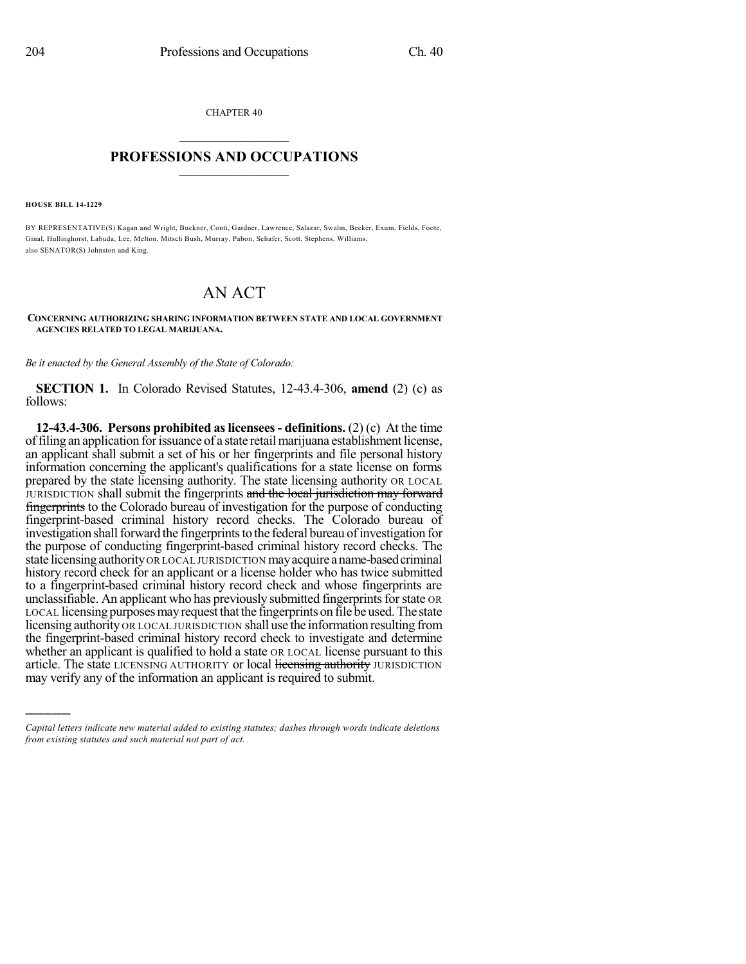CHAPTER 40  $\overline{\phantom{a}}$  . The set of the set of the set of the set of the set of the set of the set of the set of the set of the set of the set of the set of the set of the set of the set of the set of the set of the set of the set o

## **PROFESSIONS AND OCCUPATIONS**  $\frac{1}{2}$  ,  $\frac{1}{2}$  ,  $\frac{1}{2}$  ,  $\frac{1}{2}$  ,  $\frac{1}{2}$  ,  $\frac{1}{2}$  ,  $\frac{1}{2}$

**HOUSE BILL 14-1229**

)))))

BY REPRESENTATIVE(S) Kagan and Wright, Buckner, Conti, Gardner, Lawrence, Salazar, Swalm, Becker, Exum, Fields, Foote, Ginal, Hullinghorst, Labuda, Lee, Melton, Mitsch Bush, Murray, Pabon, Schafer, Scott, Stephens, Williams; also SENATOR(S) Johnston and King.

## AN ACT

**CONCERNING AUTHORIZING SHARING INFORMATION BETWEEN STATE AND LOCAL GOVERNMENT AGENCIES RELATED TO LEGAL MARIJUANA.**

*Be it enacted by the General Assembly of the State of Colorado:*

**SECTION 1.** In Colorado Revised Statutes, 12-43.4-306, **amend** (2) (c) as follows:

**12-43.4-306. Persons prohibited aslicensees- definitions.** (2) (c) At the time offiling an application forissuance of a state retailmarijuana establishment license, an applicant shall submit a set of his or her fingerprints and file personal history information concerning the applicant's qualifications for a state license on forms prepared by the state licensing authority. The state licensing authority OR LOCAL JURISDICTION shall submit the fingerprints and the local jurisdiction may forward fingerprints to the Colorado bureau of investigation for the purpose of conducting fingerprint-based criminal history record checks. The Colorado bureau of investigation shall forward the fingerprints to the federal bureau of investigation for the purpose of conducting fingerprint-based criminal history record checks. The state licensing authority OR LOCAL JURISDICTION may acquire a name-based criminal history record check for an applicant or a license holder who has twice submitted to a fingerprint-based criminal history record check and whose fingerprints are unclassifiable. An applicant who has previously submitted fingerprints for state OR LOCAL licensing purposes may request that the fingerprints on file be used. The state licensing authority OR LOCAL JURISDICTION shall use the information resulting from the fingerprint-based criminal history record check to investigate and determine whether an applicant is qualified to hold a state OR LOCAL license pursuant to this article. The state LICENSING AUTHORITY or local licensing authority JURISDICTION may verify any of the information an applicant is required to submit.

*Capital letters indicate new material added to existing statutes; dashes through words indicate deletions from existing statutes and such material not part of act.*